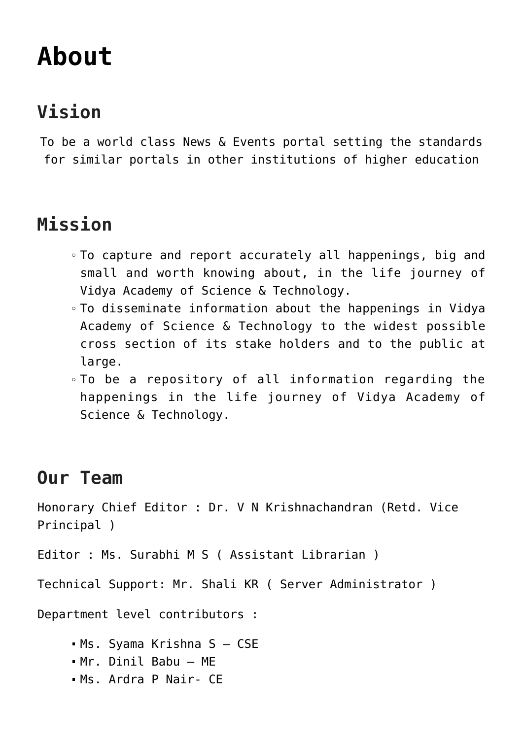## **[About](https://news.vidyaacademy.ac.in/about/)**

## **Vision**

To be a world class News & Events portal setting the standards for similar portals in other institutions of higher education

## **Mission**

- To capture and report accurately all happenings, big and small and worth knowing about, in the life journey of Vidya Academy of Science & Technology.
- To disseminate information about the happenings in Vidya Academy of Science & Technology to the widest possible cross section of its stake holders and to the public at large.
- To be a repository of all information regarding the happenings in the life journey of Vidya Academy of Science & Technology.

## **Our Team**

Honorary Chief Editor : Dr. V N Krishnachandran (Retd. Vice Principal )

Editor : Ms. Surabhi M S ( Assistant Librarian )

Technical Support: Mr. Shali KR ( Server Administrator )

Department level contributors :

- Ms. Syama Krishna S CSE
- Mr. Dinil Babu ME
- Ms. Ardra P Nair- CE